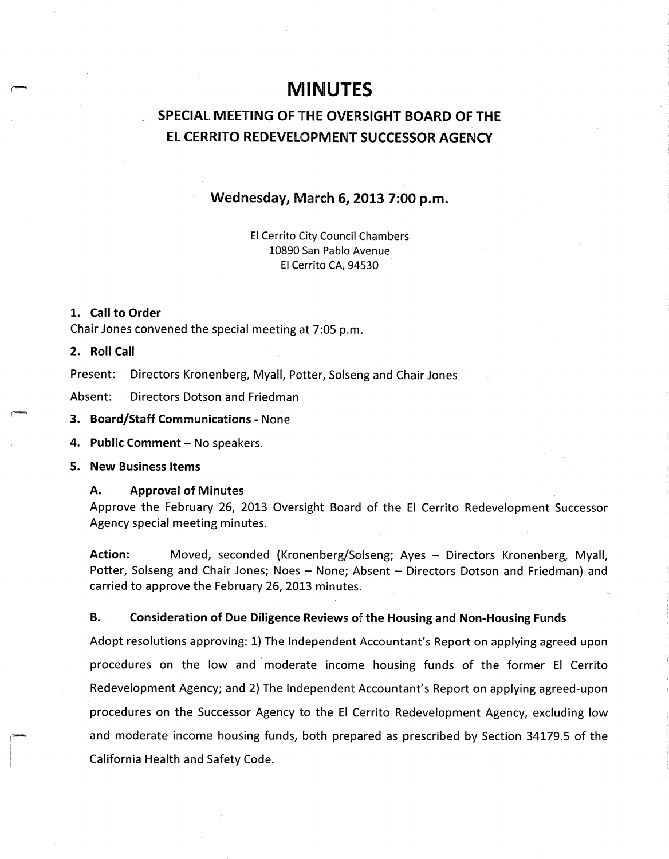# **MINUTES**

## SPECIAL MEETING OF THE OVERSIGHT BOARD OF THE EL CERRITO REDEVELOPMENT SUCCESSOR AGENCY

## Wednesday, March 6, 2013 7:00 p.m.

El Cerrito City Council Chambers 10890 San Pablo Avenue El Cerrito CA, 94530

#### 1. Call to Order

Chair Jones convened the special meeting at 7:05 p.m.

## 2. Roll Call

Present: Directors Kronenberg, Myall, Potter, Solseng and Chair Jones

Absent: Directors Dotson and Friedman

3. Board/Staff Communications - None

4. Public Comment—No speakers.

5. New Business Items

### A. Approval of Minutes

Approve the February 26, 2013 Oversight Board of the El Cerrito Redevelopment Successor Agency special meeting minutes.

Action: Moved, seconded (Kronenberg/Solseng; Ayes - Directors Kronenberg, Myall, Potter, Solseng and Chair Jones; Noes — None; Absent — Directors Dotson and Friedman) and carried to approve the February 26, 2013 minutes.

## B. Consideration of Due Diligence Reviews of the Housing and Non- Housing Funds

Adopt resolutions approving: 1) The Independent Accountant's Report on applying agreed upon procedures on the low and moderate income housing funds of the former El Cerrito Redevelopment Agency; and 2) The Independent Accountant's Report on applying agreed-upon procedures on the Successor Agency to the El Cerrito Redevelopment Agency, excluding low and moderate income housing funds, both prepared as prescribed by Section 34179.5 of the California Health and Safety Code.